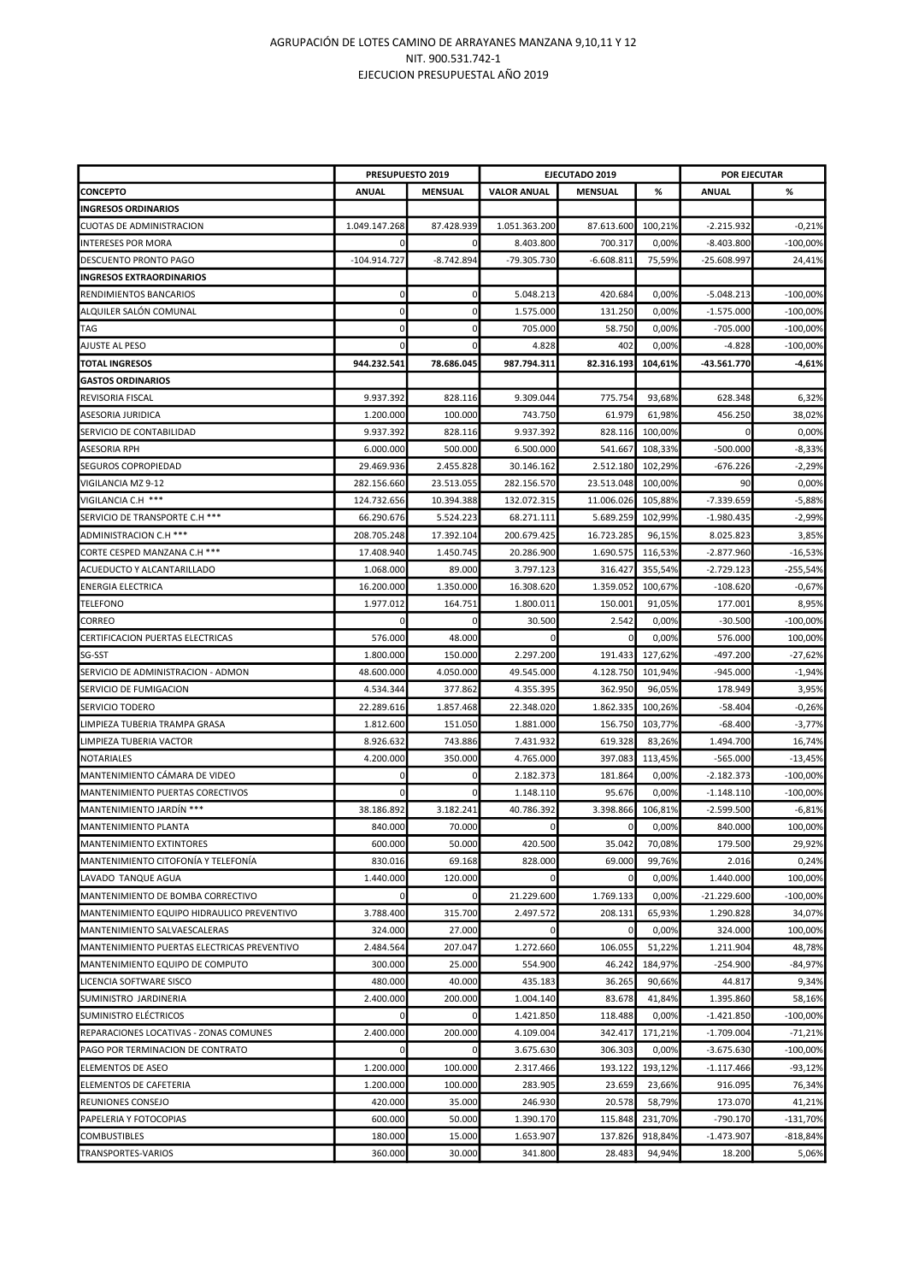## AGRUPACIÓN DE LOTES CAMINO DE ARRAYANES MANZANA 9,10,11 Y 12 NIT. 900.531.742-1 EJECUCION PRESUPUESTAL AÑO 2019

|                                             | PRESUPUESTO 2019 |                | EJECUTADO 2019     |                |         | <b>POR EJECUTAR</b> |            |
|---------------------------------------------|------------------|----------------|--------------------|----------------|---------|---------------------|------------|
| <b>CONCEPTO</b>                             | ANUAL            | <b>MENSUAL</b> | <b>VALOR ANUAL</b> | <b>MENSUAL</b> | %       | <b>ANUAL</b>        | %          |
| <b>INGRESOS ORDINARIOS</b>                  |                  |                |                    |                |         |                     |            |
| <b>CUOTAS DE ADMINISTRACION</b>             | 1.049.147.268    | 87.428.939     | 1.051.363.200      | 87.613.600     | 100,21% | $-2.215.932$        | $-0,21%$   |
| <b>INTERESES POR MORA</b>                   |                  |                | 8.403.800          | 700.317        | 0,00%   | $-8.403.800$        | $-100,00%$ |
| DESCUENTO PRONTO PAGO                       | $-104.914.727$   | $-8.742.894$   | -79.305.730        | $-6.608.811$   | 75,59%  | $-25.608.997$       | 24,41%     |
| <b>INGRESOS EXTRAORDINARIOS</b>             |                  |                |                    |                |         |                     |            |
| RENDIMIENTOS BANCARIOS                      | 0                | 0              | 5.048.213          | 420.684        | 0,00%   | $-5.048.213$        | $-100,00%$ |
| ALQUILER SALÓN COMUNAL                      | $\pmb{0}$        | 0              | 1.575.000          | 131.250        | 0,00%   | $-1.575.000$        | $-100,00%$ |
| <b>TAG</b>                                  | $\mathbf 0$      | 0              | 705.000            | 58.750         | 0,00%   | $-705.000$          | $-100,00%$ |
| AJUSTE AL PESO                              | 0                | C              | 4.828              | 402            | 0,00%   | $-4.828$            | $-100,00%$ |
| <b>TOTAL INGRESOS</b>                       | 944.232.541      | 78.686.045     | 987.794.311        | 82.316.193     | 104,61% | -43.561.770         | $-4,61%$   |
| <b>GASTOS ORDINARIOS</b>                    |                  |                |                    |                |         |                     |            |
| REVISORIA FISCAL                            | 9.937.392        | 828.116        | 9.309.044          | 775.754        | 93,68%  | 628.348             | 6,32%      |
| ASESORIA JURIDICA                           | 1.200.000        | 100.000        | 743.750            | 61.979         | 61,98%  | 456.250             | 38,02%     |
| SERVICIO DE CONTABILIDAD                    | 9.937.392        | 828.116        | 9.937.392          | 828.116        | 100,00% | $\Omega$            | 0,00%      |
| <b>ASESORIA RPH</b>                         | 6.000.000        | 500.000        | 6.500.000          | 541.667        | 108,33% | $-500.000$          | $-8,33%$   |
| SEGUROS COPROPIEDAD                         | 29.469.936       | 2.455.828      | 30.146.162         | 2.512.180      | 102,29% | $-676.226$          | $-2,29%$   |
| VIGILANCIA MZ 9-12                          | 282.156.660      | 23.513.055     | 282.156.570        | 23.513.048     | 100,00% | 90                  | 0,00%      |
| VIGILANCIA C.H ***                          | 124.732.656      | 10.394.388     | 132.072.315        | 11.006.026     | 105,88% | -7.339.659          | $-5,88%$   |
| SERVICIO DE TRANSPORTE C.H ***              | 66.290.676       | 5.524.223      | 68.271.111         | 5.689.259      | 102,99% | $-1.980.435$        | $-2,99%$   |
| ADMINISTRACION C.H ***                      | 208.705.248      | 17.392.104     | 200.679.425        | 16.723.285     | 96,15%  | 8.025.823           | 3,85%      |
| CORTE CESPED MANZANA C.H ***                | 17.408.940       | 1.450.745      | 20.286.900         | 1.690.575      | 116,53% | $-2.877.960$        | $-16,53%$  |
| ACUEDUCTO Y ALCANTARILLADO                  | 1.068.000        | 89.000         | 3.797.123          | 316.427        | 355,54% | $-2.729.123$        | -255,54%   |
| <b>ENERGIA ELECTRICA</b>                    | 16.200.000       | 1.350.000      | 16.308.620         | 1.359.052      | 100,67% | $-108.620$          | $-0,67%$   |
| <b>TELEFONO</b>                             | 1.977.012        | 164.751        | 1.800.011          | 150.001        | 91,05%  | 177.001             | 8,95%      |
| <b>CORREO</b>                               | 0                | 0              | 30.500             | 2.542          | 0,00%   | $-30.500$           | $-100,00%$ |
| CERTIFICACION PUERTAS ELECTRICAS            | 576.000          | 48.000         | 0                  |                | 0,00%   | 576.000             | 100,00%    |
| SG-SST                                      | 1.800.000        | 150.000        | 2.297.200          | 191.433        | 127,62% | $-497.200$          | $-27,62%$  |
| SERVICIO DE ADMINISTRACION - ADMON          | 48.600.000       | 4.050.000      | 49.545.000         | 4.128.750      | 101,94% | $-945.000$          | $-1,94%$   |
| SERVICIO DE FUMIGACION                      | 4.534.344        | 377.862        | 4.355.395          | 362.950        | 96,05%  | 178.949             | 3,95%      |
| SERVICIO TODERO                             | 22.289.616       | 1.857.468      | 22.348.020         | 1.862.335      | 100,26% | $-58.404$           | $-0,26%$   |
| LIMPIEZA TUBERIA TRAMPA GRASA               | 1.812.600        | 151.050        | 1.881.000          | 156.750        | 103,77% | $-68.400$           | $-3,77%$   |
| LIMPIEZA TUBERIA VACTOR                     | 8.926.632        | 743.886        | 7.431.932          | 619.328        | 83,26%  | 1.494.700           | 16,74%     |
| NOTARIALES                                  | 4.200.000        | 350.000        | 4.765.000          | 397.083        | 113,45% | $-565.000$          | $-13,45%$  |
| MANTENIMIENTO CÁMARA DE VIDEO               | 0                |                | 2.182.373          | 181.864        | 0,00%   | $-2.182.373$        | $-100,00%$ |
| MANTENIMIENTO PUERTAS CORECTIVOS            | 0                |                | 1.148.110          | 95.676         | 0,00%   | $-1.148.110$        | $-100,00%$ |
| MANTENIMIENTO JARDÍN ***                    | 38.186.892       | 3.182.241      | 40.786.392         | 3.398.866      | 106,81% | $-2.599.500$        | $-6,81%$   |
| MANTENIMIENTO PLANTA                        | 840.000          | 70.000         | $\Omega$           | 0              | 0,00%   | 840.000             | 100.00%    |
| MANTENIMIENTO EXTINTORES                    | 600.000          | 50.000         | 420.500            | 35.042         | 70,08%  | 179.500             | 29,92%     |
| MANTENIMIENTO CITOFONÍA Y TELEFONÍA         | 830.016          | 69.168         | 828.000            | 69.000         | 99,76%  | 2.016               | 0,24%      |
| LAVADO TANQUE AGUA                          | 1.440.000        | 120.000        | 0                  | 0              | 0,00%   | 1.440.000           | 100.00%    |
| MANTENIMIENTO DE BOMBA CORRECTIVO           | $\mathbf 0$      | 0              | 21.229.600         | 1.769.133      | 0,00%   | $-21.229.600$       | $-100,00%$ |
| MANTENIMIENTO EQUIPO HIDRAULICO PREVENTIVO  | 3.788.400        | 315.700        | 2.497.572          | 208.131        | 65,93%  | 1.290.828           | 34,07%     |
| MANTENIMIENTO SALVAESCALERAS                | 324.000          | 27.000         | $\Omega$           | 0              | 0,00%   | 324.000             | 100,00%    |
| MANTENIMIENTO PUERTAS ELECTRICAS PREVENTIVO | 2.484.564        | 207.047        | 1.272.660          | 106.055        | 51,22%  | 1.211.904           | 48,78%     |
| MANTENIMIENTO EQUIPO DE COMPUTO             | 300.000          | 25.000         | 554.900            | 46.242         | 184,97% | $-254.900$          | $-84,97%$  |
| LICENCIA SOFTWARE SISCO                     | 480.000          | 40.000         | 435.183            | 36.265         | 90,66%  | 44.817              | 9,34%      |
| SUMINISTRO JARDINERIA                       | 2.400.000        | 200.000        | 1.004.140          | 83.678         | 41,84%  | 1.395.860           | 58,16%     |
| SUMINISTRO ELÉCTRICOS                       | 0                | $\mathbf C$    | 1.421.850          | 118.488        | 0,00%   | $-1.421.850$        | $-100,00%$ |
| REPARACIONES LOCATIVAS - ZONAS COMUNES      | 2.400.000        | 200.000        | 4.109.004          | 342.417        | 171,21% | $-1.709.004$        | $-71,21%$  |
| PAGO POR TERMINACION DE CONTRATO            | 0                | 0              | 3.675.630          | 306.303        | 0,00%   | $-3.675.630$        | $-100,00%$ |
| ELEMENTOS DE ASEO                           | 1.200.000        | 100.000        | 2.317.466          | 193.122        | 193,12% | $-1.117.466$        | $-93,12%$  |
| ELEMENTOS DE CAFETERIA                      | 1.200.000        | 100.000        | 283.905            | 23.659         | 23,66%  | 916.095             | 76,34%     |
| <b>REUNIONES CONSEJO</b>                    | 420.000          | 35.000         | 246.930            | 20.578         | 58,79%  | 173.070             | 41,21%     |
| PAPELERIA Y FOTOCOPIAS                      | 600.000          | 50.000         | 1.390.170          | 115.848        | 231,70% | $-790.170$          | $-131,70%$ |
| <b>COMBUSTIBLES</b>                         | 180.000          | 15.000         | 1.653.907          | 137.826        | 918,84% | $-1.473.907$        | $-818,84%$ |
| TRANSPORTES-VARIOS                          | 360.000          | 30.000         | 341.800            | 28.483         | 94,94%  | 18.200              | 5,06%      |
|                                             |                  |                |                    |                |         |                     |            |